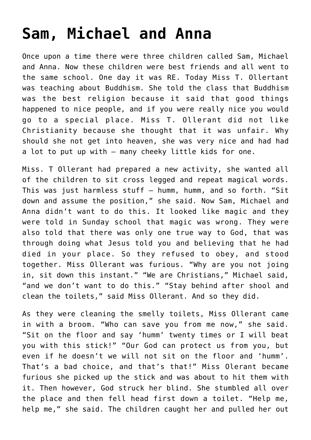## **[Sam, Michael and Anna](https://caleboloan.me.uk/sam-michael-and-anna/)**

Once upon a time there were three children called Sam, Michael and Anna. Now these children were best friends and all went to the same school. One day it was RE. Today Miss T. Ollertant was teaching about Buddhism. She told the class that Buddhism was the best religion because it said that good things happened to nice people, and if you were really nice you would go to a special place. Miss T. Ollerant did not like Christianity because she thought that it was unfair. Why should she not get into heaven, she was very nice and had had a lot to put up with – many cheeky little kids for one.

Miss. T Ollerant had prepared a new activity, she wanted all of the children to sit cross legged and repeat magical words. This was just harmless stuff – humm, humm, and so forth. "Sit down and assume the position," she said. Now Sam, Michael and Anna didn't want to do this. It looked like magic and they were told in Sunday school that magic was wrong. They were also told that there was only one true way to God, that was through doing what Jesus told you and believing that he had died in your place. So they refused to obey, and stood together. Miss Ollerant was furious. "Why are you not joing in, sit down this instant." "We are Christians," Michael said, "and we don't want to do this." "Stay behind after shool and clean the toilets," said Miss Ollerant. And so they did.

As they were cleaning the smelly toilets, Miss Ollerant came in with a broom. "Who can save you from me now," she said. "Sit on the floor and say 'humm' twenty times or I will beat you with this stick!" "Our God can protect us from you, but even if he doesn't we will not sit on the floor and 'humm'. That's a bad choice, and that's that!" Miss Olerant became furious she picked up the stick and was about to hit them with it. Then however, God struck her blind. She stumbled all over the place and then fell head first down a toilet. "Help me, help me," she said. The children caught her and pulled her out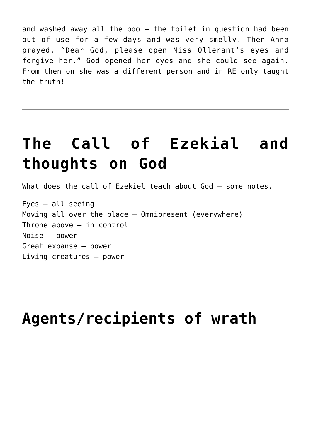and washed away all the poo – the toilet in question had been out of use for a few days and was very smelly. Then Anna prayed, "Dear God, please open Miss Ollerant's eyes and forgive her." God opened her eyes and she could see again. From then on she was a different person and in RE only taught the truth!

## **[The Call of Ezekial and](https://caleboloan.me.uk/the-call-of-ezekial-and-thoughts-on-god/) [thoughts on God](https://caleboloan.me.uk/the-call-of-ezekial-and-thoughts-on-god/)**

What does the call of Ezekiel teach about God – some notes.

Eyes – all seeing Moving all over the place – Omnipresent (everywhere) Throne above – in control Noise – power Great expanse – power Living creatures – power

## **[Agents/recipients of wrath](https://caleboloan.me.uk/agentsrecipients-of-wrath/)**